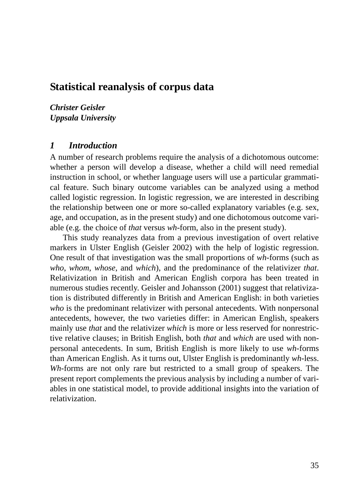# **Statistical reanalysis of corpus data**

*Christer Geisler Uppsala University*

### *1 Introduction*

A number of research problems require the analysis of a dichotomous outcome: whether a person will develop a disease, whether a child will need remedial instruction in school, or whether language users will use a particular grammatical feature. Such binary outcome variables can be analyzed using a method called logistic regression. In logistic regression, we are interested in describing the relationship between one or more so-called explanatory variables (e.g. sex, age, and occupation, as in the present study) and one dichotomous outcome variable (e.g. the choice of *that* versus *wh*-form, also in the present study).

This study reanalyzes data from a previous investigation of overt relative markers in Ulster English (Geisler 2002) with the help of logistic regression. One result of that investigation was the small proportions of *wh*-forms (such as *who*, *whom*, *whose*, and *which*), and the predominance of the relativizer *that*. Relativization in British and American English corpora has been treated in numerous studies recently. Geisler and Johansson (2001) suggest that relativization is distributed differently in British and American English: in both varieties *who* is the predominant relativizer with personal antecedents. With nonpersonal antecedents, however, the two varieties differ: in American English, speakers mainly use *that* and the relativizer *which* is more or less reserved for nonrestrictive relative clauses; in British English, both *that* and *which* are used with nonpersonal antecedents. In sum, British English is more likely to use *wh*-forms than American English. As it turns out, Ulster English is predominantly *wh*-less. *Wh*-forms are not only rare but restricted to a small group of speakers. The present report complements the previous analysis by including a number of variables in one statistical model, to provide additional insights into the variation of relativization.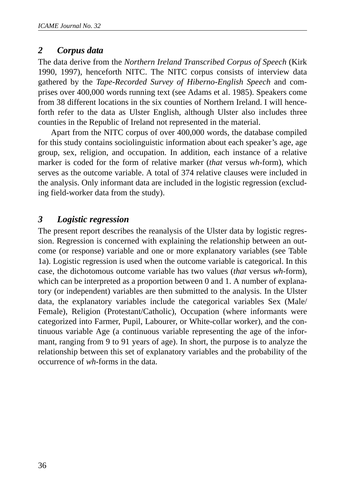## *2 Corpus data*

The data derive from the *Northern Ireland Transcribed Corpus of Speech* (Kirk 1990, 1997), henceforth NITC. The NITC corpus consists of interview data gathered by the *Tape-Recorded Survey of Hiberno-English Speech* and comprises over 400,000 words running text (see Adams et al. 1985). Speakers come from 38 different locations in the six counties of Northern Ireland. I will henceforth refer to the data as Ulster English, although Ulster also includes three counties in the Republic of Ireland not represented in the material.

Apart from the NITC corpus of over 400,000 words, the database compiled for this study contains sociolinguistic information about each speaker's age, age group, sex, religion, and occupation. In addition, each instance of a relative marker is coded for the form of relative marker (*that* versus *wh*-form), which serves as the outcome variable. A total of 374 relative clauses were included in the analysis. Only informant data are included in the logistic regression (excluding field-worker data from the study).

# *3 Logistic regression*

The present report describes the reanalysis of the Ulster data by logistic regression. Regression is concerned with explaining the relationship between an outcome (or response) variable and one or more explanatory variables (see Table 1a). Logistic regression is used when the outcome variable is categorical. In this case, the dichotomous outcome variable has two values (*that* versus *wh*-form), which can be interpreted as a proportion between 0 and 1. A number of explanatory (or independent) variables are then submitted to the analysis. In the Ulster data, the explanatory variables include the categorical variables Sex (Male/ Female), Religion (Protestant/Catholic), Occupation (where informants were categorized into Farmer, Pupil, Labourer, or White-collar worker), and the continuous variable Age (a continuous variable representing the age of the informant, ranging from 9 to 91 years of age). In short, the purpose is to analyze the relationship between this set of explanatory variables and the probability of the occurrence of *wh*-forms in the data.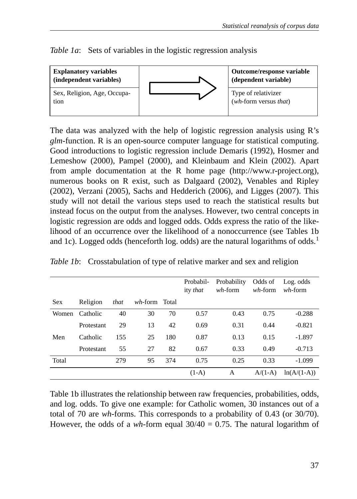*Table 1a*: Sets of variables in the logistic regression analysis



The data was analyzed with the help of logistic regression analysis using R's *glm*-function. R is an open-source computer language for statistical computing. Good introductions to logistic regression include Demaris (1992), Hosmer and Lemeshow (2000), Pampel (2000), and Kleinbaum and Klein (2002). Apart from ample documentation at the R home page (http://www.r-project.org), numerous books on R exist, such as Dalgaard (2002), Venables and Ripley (2002), Verzani (2005), Sachs and Hedderich (2006), and Ligges (2007). This study will not detail the various steps used to reach the statistical results but instead focus on the output from the analyses. However, two central concepts in logistic regression are odds and logged odds. Odds express the ratio of the likelihood of an occurrence over the likelihood of a nonoccurrence (see Tables 1b and 1c). Logged odds (henceforth log. odds) are the natural logarithms of odds.<sup>1</sup>

|            |            |      |               |     | Probabil-<br>ity that | Probability<br>$wh$ -form | Odds of<br>$wh$ -form | Log. odds<br>$wh$ -form |
|------------|------------|------|---------------|-----|-----------------------|---------------------------|-----------------------|-------------------------|
| <b>Sex</b> | Religion   | that | wh-form Total |     |                       |                           |                       |                         |
| Women      | Catholic   | 40   | 30            | 70  | 0.57                  | 0.43                      | 0.75                  | $-0.288$                |
|            | Protestant | 29   | 13            | 42  | 0.69                  | 0.31                      | 0.44                  | $-0.821$                |
| Men        | Catholic   | 155  | 25            | 180 | 0.87                  | 0.13                      | 0.15                  | $-1.897$                |
|            | Protestant | 55   | 27            | 82  | 0.67                  | 0.33                      | 0.49                  | $-0.713$                |
| Total      |            | 279  | 95            | 374 | 0.75                  | 0.25                      | 0.33                  | $-1.099$                |
|            |            |      |               |     | $(1-A)$               | А                         | $A/(1-A)$             | $ln(A/(1-A))$           |

Table 1b illustrates the relationship between raw frequencies, probabilities, odds, and log. odds. To give one example: for Catholic women, 30 instances out of a total of 70 are *wh*-forms. This corresponds to a probability of 0.43 (or 30/70). However, the odds of a *wh*-form equal  $30/40 = 0.75$ . The natural logarithm of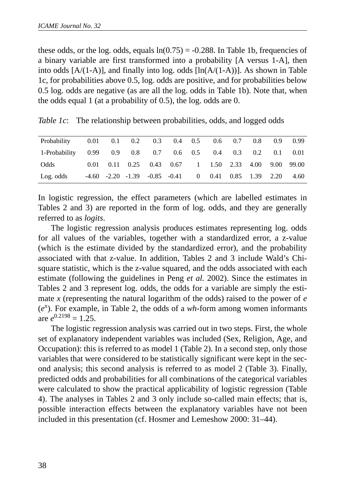these odds, or the log. odds, equals  $ln(0.75) = -0.288$ . In Table 1b, frequencies of a binary variable are first transformed into a probability [A versus 1-A], then into odds  $[A/(1-A)]$ , and finally into log. odds  $[ln(A/(1-A))]$ . As shown in Table 1c, for probabilities above 0.5, log. odds are positive, and for probabilities below 0.5 log. odds are negative (as are all the log. odds in Table 1b). Note that, when the odds equal 1 (at a probability of 0.5), the log. odds are 0.

*Table 1c*: The relationship between probabilities, odds, and logged odds

| Probability 0.01 0.1 0.2 0.3 0.4 0.5 0.6 0.7                |  |  |  |                                                                 |  | $0.8$ 0.9 0.99 |
|-------------------------------------------------------------|--|--|--|-----------------------------------------------------------------|--|----------------|
| 1-Probability 0.99 0.9 0.8 0.7 0.6 0.5 0.4 0.3 0.2 0.1 0.01 |  |  |  |                                                                 |  |                |
| Odds                                                        |  |  |  | 0.01 0.11 0.25 0.43 0.67 1 1.50 2.33 4.00 9.00 99.00            |  |                |
| Log. odds                                                   |  |  |  | $-4.60$ $-2.20$ $-1.39$ $-0.85$ $-0.41$ 0 $0.41$ 0.85 1.39 2.20 |  | 4.60           |

In logistic regression, the effect parameters (which are labelled estimates in Tables 2 and 3) are reported in the form of log. odds, and they are generally referred to as *logits*.

The logistic regression analysis produces estimates representing log. odds for all values of the variables, together with a standardized error, a z-value (which is the estimate divided by the standardized error), and the probability associated with that z-value. In addition, Tables 2 and 3 include Wald's Chisquare statistic, which is the z-value squared, and the odds associated with each estimate (following the guidelines in Peng *et al.* 2002). Since the estimates in Tables 2 and 3 represent log. odds, the odds for a variable are simply the estimate *x* (representing the natural logarithm of the odds) raised to the power of *e*  $(e<sup>x</sup>)$ . For example, in Table 2, the odds of a *wh*-form among women informants are  $e^{0.2198} = 1.25$ .

The logistic regression analysis was carried out in two steps. First, the whole set of explanatory independent variables was included (Sex, Religion, Age, and Occupation): this is referred to as model 1 (Table 2). In a second step, only those variables that were considered to be statistically significant were kept in the second analysis; this second analysis is referred to as model 2 (Table 3). Finally, predicted odds and probabilities for all combinations of the categorical variables were calculated to show the practical applicability of logistic regression (Table 4). The analyses in Tables 2 and 3 only include so-called main effects; that is, possible interaction effects between the explanatory variables have not been included in this presentation (cf. Hosmer and Lemeshow 2000: 31–44).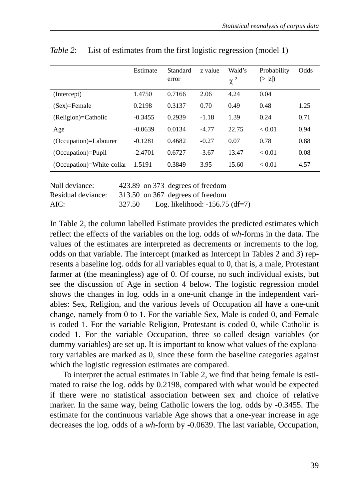|                           | Estimate  | Standard<br>error | z value | Wald's<br>$\chi^2$ | Probability<br>(> z ) | Odds |
|---------------------------|-----------|-------------------|---------|--------------------|-----------------------|------|
| (Intercept)               | 1.4750    | 0.7166            | 2.06    | 4.24               | 0.04                  |      |
| $(Sex)=Female$            | 0.2198    | 0.3137            | 0.70    | 0.49               | 0.48                  | 1.25 |
| (Religion)=Catholic       | $-0.3455$ | 0.2939            | $-1.18$ | 1.39               | 0.24                  | 0.71 |
| Age                       | $-0.0639$ | 0.0134            | $-4.77$ | 22.75              | < 0.01                | 0.94 |
| (Occupation)=Labourer     | $-0.1281$ | 0.4682            | $-0.27$ | 0.07               | 0.78                  | 0.88 |
| $(Occupation)=Pupil$      | $-2.4701$ | 0.6727            | $-3.67$ | 13.47              | < 0.01                | 0.08 |
| (Occupation)=White-collar | 1.5191    | 0.3849            | 3.95    | 15.60              | < 0.01                | 4.57 |

*Table 2*: List of estimates from the first logistic regression (model 1)

| Null deviance:     |        | 423.89 on 373 degrees of freedom  |
|--------------------|--------|-----------------------------------|
| Residual deviance: |        | 313.50 on 367 degrees of freedom  |
| AIC:               | 327.50 | Log. likelihood: $-156.75$ (df=7) |

In Table 2, the column labelled Estimate provides the predicted estimates which reflect the effects of the variables on the log. odds of *wh*-forms in the data. The values of the estimates are interpreted as decrements or increments to the log. odds on that variable. The intercept (marked as Intercept in Tables 2 and 3) represents a baseline log. odds for all variables equal to 0, that is, a male, Protestant farmer at (the meaningless) age of 0. Of course, no such individual exists, but see the discussion of Age in section 4 below. The logistic regression model shows the changes in log. odds in a one-unit change in the independent variables: Sex, Religion, and the various levels of Occupation all have a one-unit change, namely from 0 to 1. For the variable Sex, Male is coded 0, and Female is coded 1. For the variable Religion, Protestant is coded 0, while Catholic is coded 1. For the variable Occupation, three so-called design variables (or dummy variables) are set up. It is important to know what values of the explanatory variables are marked as 0, since these form the baseline categories against which the logistic regression estimates are compared.

To interpret the actual estimates in Table 2, we find that being female is estimated to raise the log. odds by 0.2198, compared with what would be expected if there were no statistical association between sex and choice of relative marker. In the same way, being Catholic lowers the log. odds by -0.3455. The estimate for the continuous variable Age shows that a one-year increase in age decreases the log. odds of a *wh*-form by -0.0639. The last variable, Occupation,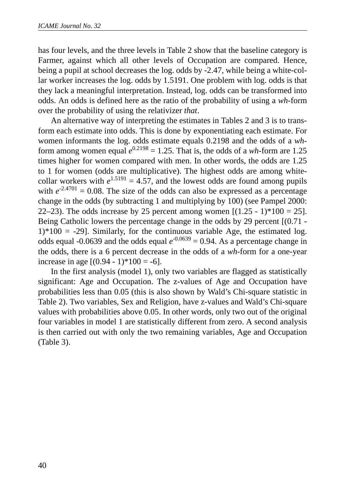has four levels, and the three levels in Table 2 show that the baseline category is Farmer, against which all other levels of Occupation are compared. Hence, being a pupil at school decreases the log. odds by -2.47, while being a white-collar worker increases the log. odds by 1.5191. One problem with log. odds is that they lack a meaningful interpretation. Instead, log. odds can be transformed into odds. An odds is defined here as the ratio of the probability of using a *wh*-form over the probability of using the relativizer *that*.

An alternative way of interpreting the estimates in Tables 2 and 3 is to transform each estimate into odds. This is done by exponentiating each estimate. For women informants the log. odds estimate equals 0.2198 and the odds of a *wh*form among women equal  $e^{0.2198} = 1.25$ . That is, the odds of a *wh*-form are 1.25 times higher for women compared with men. In other words, the odds are 1.25 to 1 for women (odds are multiplicative). The highest odds are among whitecollar workers with  $e^{1.5191} = 4.57$ , and the lowest odds are found among pupils with  $e^{-2.4701} = 0.08$ . The size of the odds can also be expressed as a percentage change in the odds (by subtracting 1 and multiplying by 100) (see Pampel 2000: 22–23). The odds increase by 25 percent among women  $[(1.25 - 1)*100 = 25]$ . Being Catholic lowers the percentage change in the odds by 29 percent  $[(0.71 1$ <sup>\*</sup>100 = -29]. Similarly, for the continuous variable Age, the estimated log. odds equal -0.0639 and the odds equal  $e^{-0.0639} = 0.94$ . As a percentage change in the odds, there is a 6 percent decrease in the odds of a *wh*-form for a one-year increase in age  $[(0.94 - 1)*100 = -6]$ .

In the first analysis (model 1), only two variables are flagged as statistically significant: Age and Occupation. The z-values of Age and Occupation have probabilities less than 0.05 (this is also shown by Wald's Chi-square statistic in Table 2). Two variables, Sex and Religion, have z-values and Wald's Chi-square values with probabilities above 0.05. In other words, only two out of the original four variables in model 1 are statistically different from zero. A second analysis is then carried out with only the two remaining variables, Age and Occupation (Table 3).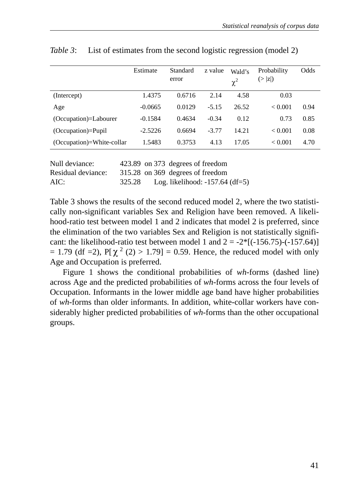|                           | Estimate  | Standard<br>error | z value | Wald's<br>$\chi^2$ | Probability<br>(> z ) | Odds |
|---------------------------|-----------|-------------------|---------|--------------------|-----------------------|------|
| (Intercept)               | 1.4375    | 0.6716            | 2.14    | 4.58               | 0.03                  |      |
| Age                       | $-0.0665$ | 0.0129            | $-5.15$ | 26.52              | < 0.001               | 0.94 |
| (Occupation)=Labourer     | $-0.1584$ | 0.4634            | $-0.34$ | 0.12               | 0.73                  | 0.85 |
| $(Occupation)=Pupil$      | $-2.5226$ | 0.6694            | $-3.77$ | 14.21              | ${}_{< 0.001}$        | 0.08 |
| (Occupation)=White-collar | 1.5483    | 0.3753            | 4.13    | 17.05              | ${}_{< 0.001}$        | 4.70 |

*Table 3*: List of estimates from the second logistic regression (model 2)

| Null deviance:     |        | 423.89 on 373 degrees of freedom  |  |
|--------------------|--------|-----------------------------------|--|
| Residual deviance: |        | 315.28 on 369 degrees of freedom  |  |
| AIC:               | 325.28 | Log. likelihood: $-157.64$ (df=5) |  |

Table 3 shows the results of the second reduced model 2, where the two statistically non-significant variables Sex and Religion have been removed. A likelihood-ratio test between model 1 and 2 indicates that model 2 is preferred, since the elimination of the two variables Sex and Religion is not statistically significant: the likelihood-ratio test between model 1 and  $2 = -2*[(-156.75)-(-157.64)]$  $= 1.79$  (df = 2),  $P[\chi^2(2) > 1.79] = 0.59$ . Hence, the reduced model with only Age and Occupation is preferred.

Figure 1 shows the conditional probabilities of *wh*-forms (dashed line) across Age and the predicted probabilities of *wh*-forms across the four levels of Occupation. Informants in the lower middle age band have higher probabilities of *wh*-forms than older informants. In addition, white-collar workers have considerably higher predicted probabilities of *wh*-forms than the other occupational groups.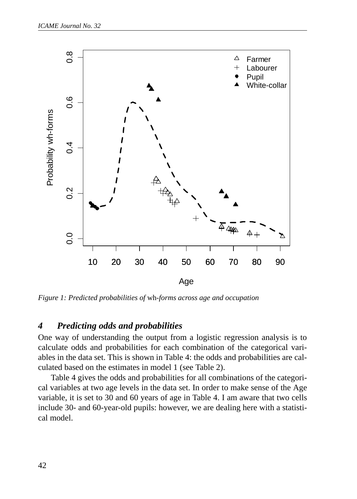

*Figure 1: Predicted probabilities of* wh*-forms across age and occupation*

### *4 Predicting odds and probabilities*

One way of understanding the output from a logistic regression analysis is to calculate odds and probabilities for each combination of the categorical variables in the data set. This is shown in Table 4: the odds and probabilities are calculated based on the estimates in model 1 (see Table 2).

Table 4 gives the odds and probabilities for all combinations of the categorical variables at two age levels in the data set. In order to make sense of the Age variable, it is set to 30 and 60 years of age in Table 4. I am aware that two cells include 30- and 60-year-old pupils: however, we are dealing here with a statistical model.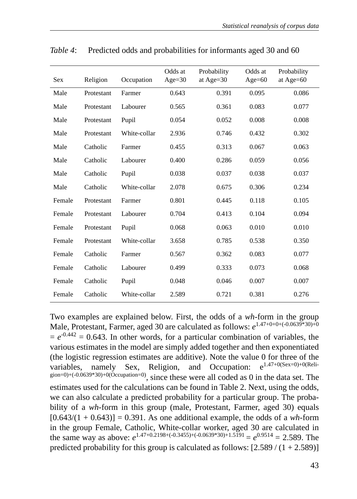| <b>Sex</b> | Religion   | Occupation   | Odds at<br>$Age = 30$ | Probability<br>at Age=30 | Odds at<br>Age= $60$ | Probability<br>at Age=60 |
|------------|------------|--------------|-----------------------|--------------------------|----------------------|--------------------------|
|            |            |              |                       |                          |                      |                          |
| Male       | Protestant | Farmer       | 0.643                 | 0.391                    | 0.095                | 0.086                    |
| Male       | Protestant | Labourer     | 0.565                 | 0.361                    | 0.083                | 0.077                    |
| Male       | Protestant | Pupil        | 0.054                 | 0.052                    | 0.008                | 0.008                    |
| Male       | Protestant | White-collar | 2.936                 | 0.746                    | 0.432                | 0.302                    |
| Male       | Catholic   | Farmer       | 0.455                 | 0.313                    | 0.067                | 0.063                    |
| Male       | Catholic   | Labourer     | 0.400                 | 0.286                    | 0.059                | 0.056                    |
| Male       | Catholic   | Pupil        | 0.038                 | 0.037                    | 0.038                | 0.037                    |
| Male       | Catholic   | White-collar | 2.078                 | 0.675                    | 0.306                | 0.234                    |
| Female     | Protestant | Farmer       | 0.801                 | 0.445                    | 0.118                | 0.105                    |
| Female     | Protestant | Labourer     | 0.704                 | 0.413                    | 0.104                | 0.094                    |
| Female     | Protestant | Pupil        | 0.068                 | 0.063                    | 0.010                | 0.010                    |
| Female     | Protestant | White-collar | 3.658                 | 0.785                    | 0.538                | 0.350                    |
| Female     | Catholic   | Farmer       | 0.567                 | 0.362                    | 0.083                | 0.077                    |
| Female     | Catholic   | Labourer     | 0.499                 | 0.333                    | 0.073                | 0.068                    |
| Female     | Catholic   | Pupil        | 0.048                 | 0.046                    | 0.007                | 0.007                    |
| Female     | Catholic   | White-collar | 2.589                 | 0.721                    | 0.381                | 0.276                    |

*Table 4*: Predicted odds and probabilities for informants aged 30 and 60

Two examples are explained below. First, the odds of a *wh*-form in the group Male, Protestant, Farmer, aged 30 are calculated as follows:  $e^{1.47+0+0+(0.0639*30)+0}$  $= e^{-0.442} = 0.643$ . In other words, for a particular combination of variables, the various estimates in the model are simply added together and then exponentiated (the logistic regression estimates are additive). Note the value 0 for three of the variables. namely  $S_{ex}$  Religion and Occupation:  $a^{1.47+0(S_{ex}=0)+0(R_{e}I_{e}}$ variables, namely Sex, Religion, and Occupation:  $g_{\text{gen=0}}(0.0639*30)+0(0)$  cocupation=0), since these were all coded as 0 in the data set. The estimates used for the calculations can be found in Table 2. Next, using the odds, we can also calculate a predicted probability for a particular group. The probability of a *wh*-form in this group (male, Protestant, Farmer, aged 30) equals  $[0.643/(1 + 0.643)] = 0.391$ . As one additional example, the odds of a *wh*-form in the group Female, Catholic, White-collar worker, aged 30 are calculated in the same way as above:  $e^{1.47+0.2198+(-0.3455)+(-0.0639*30)+1.5\overline{1}91} = e^{0.9514} = 2.589$ . The predicted probability for this group is calculated as follows:  $[2.589/(1 + 2.589)]$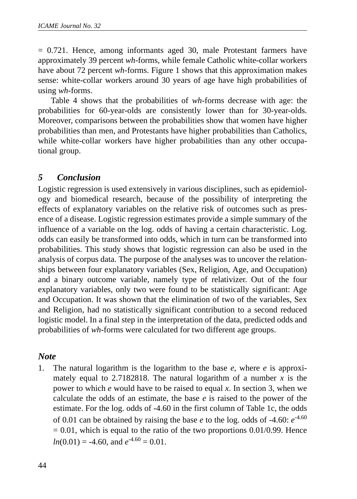= 0.721. Hence, among informants aged 30, male Protestant farmers have approximately 39 percent *wh*-forms, while female Catholic white-collar workers have about 72 percent *wh*-forms. Figure 1 shows that this approximation makes sense: white-collar workers around 30 years of age have high probabilities of using *wh*-forms.

Table 4 shows that the probabilities of *wh*-forms decrease with age: the probabilities for 60-year-olds are consistently lower than for 30-year-olds. Moreover, comparisons between the probabilities show that women have higher probabilities than men, and Protestants have higher probabilities than Catholics, while white-collar workers have higher probabilities than any other occupational group.

### *5 Conclusion*

Logistic regression is used extensively in various disciplines, such as epidemiology and biomedical research, because of the possibility of interpreting the effects of explanatory variables on the relative risk of outcomes such as presence of a disease. Logistic regression estimates provide a simple summary of the influence of a variable on the log. odds of having a certain characteristic. Log. odds can easily be transformed into odds, which in turn can be transformed into probabilities. This study shows that logistic regression can also be used in the analysis of corpus data. The purpose of the analyses was to uncover the relationships between four explanatory variables (Sex, Religion, Age, and Occupation) and a binary outcome variable, namely type of relativizer. Out of the four explanatory variables, only two were found to be statistically significant: Age and Occupation. It was shown that the elimination of two of the variables, Sex and Religion, had no statistically significant contribution to a second reduced logistic model. In a final step in the interpretation of the data, predicted odds and probabilities of *wh*-forms were calculated for two different age groups.

#### *Note*

1. The natural logarithm is the logarithm to the base *e*, where *e* is approximately equal to 2.7182818. The natural logarithm of a number  $x$  is the power to which *e* would have to be raised to equal *x*. In section 3, when we calculate the odds of an estimate, the base *e* is raised to the power of the estimate. For the log. odds of -4.60 in the first column of Table 1c, the odds of 0.01 can be obtained by raising the base  $e$  to the log. odds of -4.60:  $e^{-4.60}$  $= 0.01$ , which is equal to the ratio of the two proportions 0.01/0.99. Hence  $ln(0.01) = -4.60$ , and  $e^{-4.60} = 0.01$ .